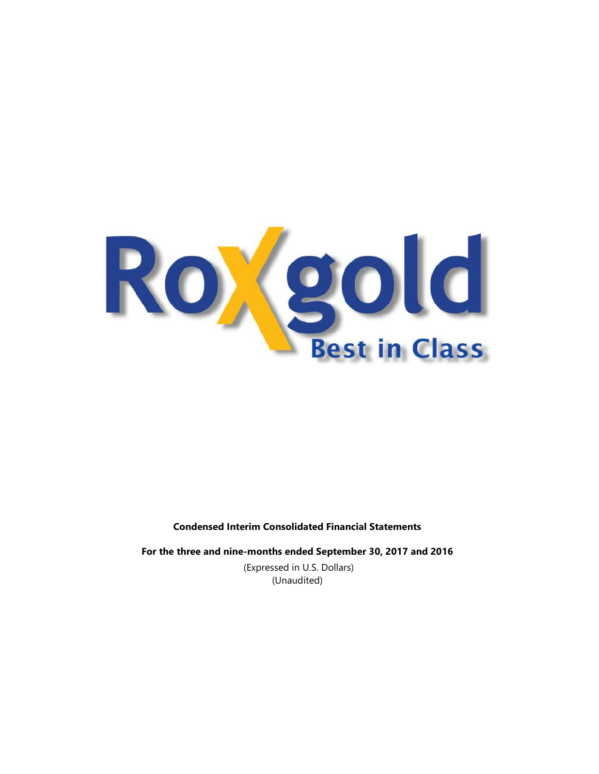

# Condensed Interim Consolidated Financial Statements

For the three and nine-months ended September 30, 2017 and 2016 (Expressed in U.S. Dollars)

(Unaudited)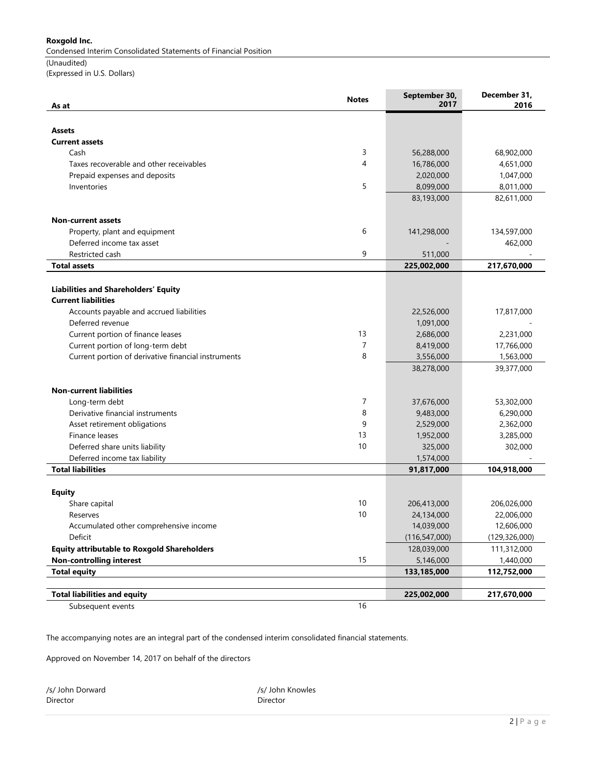Condensed Interim Consolidated Statements of Financial Position

(Unaudited) (Expressed in U.S. Dollars)

| As at                                               | <b>Notes</b> | September 30,<br>2017 | December 31,<br>2016 |
|-----------------------------------------------------|--------------|-----------------------|----------------------|
|                                                     |              |                       |                      |
| <b>Assets</b>                                       |              |                       |                      |
| <b>Current assets</b>                               |              |                       |                      |
| Cash                                                | 3            | 56,288,000            | 68,902,000           |
| Taxes recoverable and other receivables             | 4            | 16,786,000            | 4,651,000            |
| Prepaid expenses and deposits                       |              | 2,020,000             | 1,047,000            |
| Inventories                                         | 5            | 8,099,000             | 8,011,000            |
|                                                     |              | 83,193,000            | 82,611,000           |
| <b>Non-current assets</b>                           |              |                       |                      |
| Property, plant and equipment                       | 6            | 141,298,000           | 134,597,000          |
| Deferred income tax asset                           |              |                       | 462,000              |
| Restricted cash                                     | 9            | 511,000               |                      |
| <b>Total assets</b>                                 |              | 225,002,000           | 217,670,000          |
|                                                     |              |                       |                      |
| Liabilities and Shareholders' Equity                |              |                       |                      |
| <b>Current liabilities</b>                          |              |                       |                      |
| Accounts payable and accrued liabilities            |              | 22,526,000            | 17,817,000           |
| Deferred revenue                                    |              | 1,091,000             |                      |
| Current portion of finance leases                   | 13           | 2,686,000             | 2,231,000            |
| Current portion of long-term debt                   | 7            | 8,419,000             | 17,766,000           |
| Current portion of derivative financial instruments | 8            | 3,556,000             | 1,563,000            |
|                                                     |              | 38,278,000            | 39,377,000           |
| <b>Non-current liabilities</b>                      |              |                       |                      |
| Long-term debt                                      | 7            | 37,676,000            | 53,302,000           |
| Derivative financial instruments                    | 8            | 9,483,000             | 6,290,000            |
| Asset retirement obligations                        | 9            | 2,529,000             | 2,362,000            |
| Finance leases                                      | 13           | 1,952,000             | 3,285,000            |
| Deferred share units liability                      | 10           | 325,000               | 302,000              |
| Deferred income tax liability                       |              | 1,574,000             |                      |
| <b>Total liabilities</b>                            |              | 91,817,000            | 104,918,000          |
|                                                     |              |                       |                      |
| <b>Equity</b>                                       |              |                       |                      |
| Share capital                                       | 10           | 206,413,000           | 206,026,000          |
| Reserves                                            | 10           | 24,134,000            | 22,006,000           |
| Accumulated other comprehensive income              |              | 14,039,000            | 12,606,000           |
| Deficit                                             |              | (116, 547, 000)       | (129, 326, 000)      |
| <b>Equity attributable to Roxgold Shareholders</b>  |              | 128,039,000           | 111,312,000          |
| <b>Non-controlling interest</b>                     | 15           | 5,146,000             | 1,440,000            |
| <b>Total equity</b>                                 |              | 133,185,000           | 112,752,000          |
| <b>Total liabilities and equity</b>                 |              | 225,002,000           | 217,670,000          |
| Subsequent events                                   | 16           |                       |                      |
|                                                     |              |                       |                      |

The accompanying notes are an integral part of the condensed interim consolidated financial statements.

Approved on November 14, 2017 on behalf of the directors

/s/ John Dorward /s/ John Knowles Director Director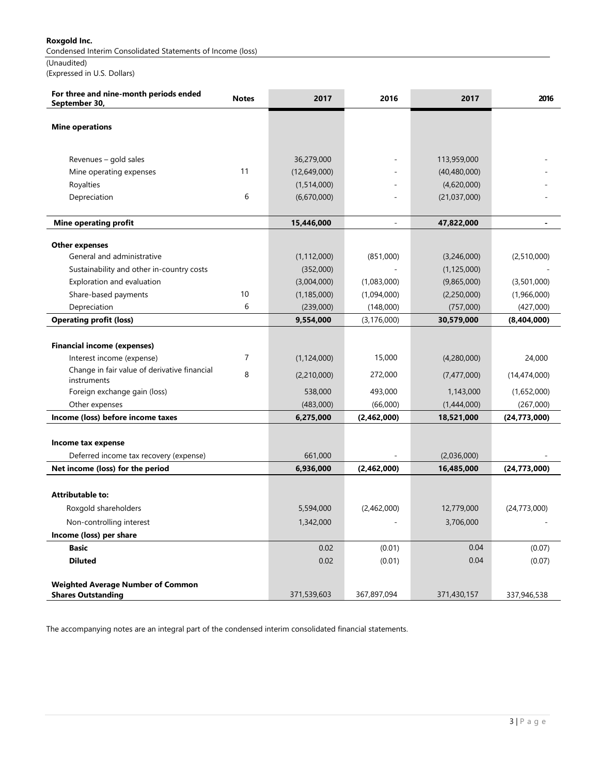Condensed Interim Consolidated Statements of Income (loss)

(Unaudited)

(Expressed in U.S. Dollars)

| For three and nine-month periods ended<br>September 30,               | <b>Notes</b>   | 2017          | 2016                | 2017           | 2016           |
|-----------------------------------------------------------------------|----------------|---------------|---------------------|----------------|----------------|
|                                                                       |                |               |                     |                |                |
| <b>Mine operations</b>                                                |                |               |                     |                |                |
|                                                                       |                |               |                     |                |                |
| Revenues – gold sales                                                 |                | 36,279,000    | ÷                   | 113,959,000    |                |
| Mine operating expenses                                               | 11             | (12,649,000)  |                     | (40, 480, 000) |                |
| Royalties                                                             |                | (1,514,000)   |                     | (4,620,000)    |                |
| Depreciation                                                          | 6              | (6,670,000)   |                     | (21,037,000)   |                |
|                                                                       |                |               |                     |                |                |
| Mine operating profit                                                 |                | 15,446,000    | $\bar{\phantom{a}}$ | 47,822,000     | $\blacksquare$ |
| <b>Other expenses</b>                                                 |                |               |                     |                |                |
| General and administrative                                            |                | (1, 112, 000) | (851,000)           | (3,246,000)    | (2,510,000)    |
| Sustainability and other in-country costs                             |                | (352,000)     |                     | (1, 125, 000)  |                |
| Exploration and evaluation                                            |                | (3,004,000)   | (1,083,000)         | (9,865,000)    | (3,501,000)    |
| Share-based payments                                                  | 10             | (1, 185, 000) | (1,094,000)         | (2,250,000)    | (1,966,000)    |
| Depreciation                                                          | 6              | (239,000)     | (148,000)           | (757,000)      | (427,000)      |
| <b>Operating profit (loss)</b>                                        |                | 9,554,000     | (3, 176, 000)       | 30,579,000     | (8,404,000)    |
|                                                                       |                |               |                     |                |                |
| <b>Financial income (expenses)</b>                                    |                |               |                     |                |                |
| Interest income (expense)                                             | $\overline{7}$ | (1, 124, 000) | 15,000              | (4,280,000)    | 24,000         |
| Change in fair value of derivative financial<br>instruments           | 8              | (2,210,000)   | 272,000             | (7,477,000)    | (14,474,000)   |
| Foreign exchange gain (loss)                                          |                | 538,000       | 493,000             | 1,143,000      | (1,652,000)    |
| Other expenses                                                        |                | (483,000)     | (66,000)            | (1,444,000)    | (267,000)      |
| Income (loss) before income taxes                                     |                | 6,275,000     | (2,462,000)         | 18,521,000     | (24, 773, 000) |
|                                                                       |                |               |                     |                |                |
| Income tax expense                                                    |                |               |                     |                |                |
| Deferred income tax recovery (expense)                                |                | 661,000       |                     | (2,036,000)    |                |
| Net income (loss) for the period                                      |                | 6,936,000     | (2,462,000)         | 16,485,000     | (24, 773, 000) |
|                                                                       |                |               |                     |                |                |
| <b>Attributable to:</b>                                               |                |               |                     |                |                |
| Roxgold shareholders                                                  |                | 5,594,000     | (2,462,000)         | 12,779,000     | (24, 773, 000) |
| Non-controlling interest                                              |                | 1,342,000     |                     | 3,706,000      |                |
| Income (loss) per share                                               |                |               |                     |                |                |
| <b>Basic</b>                                                          |                | 0.02          | (0.01)              | 0.04           | (0.07)         |
| <b>Diluted</b>                                                        |                | 0.02          | (0.01)              | 0.04           | (0.07)         |
|                                                                       |                |               |                     |                |                |
| <b>Weighted Average Number of Common</b><br><b>Shares Outstanding</b> |                | 371,539,603   | 367,897,094         | 371,430,157    | 337,946,538    |

The accompanying notes are an integral part of the condensed interim consolidated financial statements.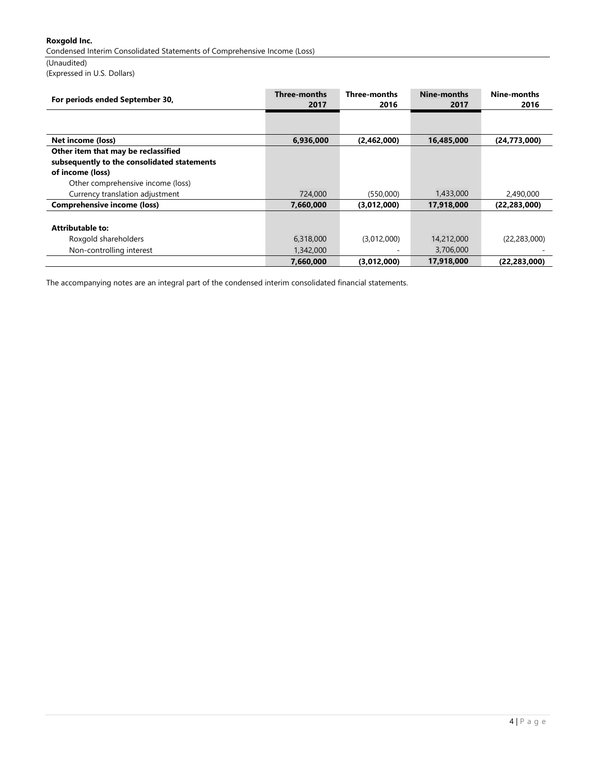Condensed Interim Consolidated Statements of Comprehensive Income (Loss)

(Unaudited)

(Expressed in U.S. Dollars)

| For periods ended September 30,                                                    | Three-months<br>2017 | <b>Three-months</b><br>2016 | Nine-months<br>2017 | Nine-months<br>2016 |
|------------------------------------------------------------------------------------|----------------------|-----------------------------|---------------------|---------------------|
|                                                                                    |                      |                             |                     |                     |
| Net income (loss)                                                                  | 6,936,000            | (2,462,000)                 | 16,485,000          | (24, 773, 000)      |
| Other item that may be reclassified<br>subsequently to the consolidated statements |                      |                             |                     |                     |
| of income (loss)                                                                   |                      |                             |                     |                     |
| Other comprehensive income (loss)                                                  |                      |                             |                     |                     |
| Currency translation adjustment                                                    | 724,000              | (550,000)                   | 1,433,000           | 2,490,000           |
| <b>Comprehensive income (loss)</b>                                                 | 7,660,000            | (3,012,000)                 | 17,918,000          | (22, 283, 000)      |
| <b>Attributable to:</b>                                                            |                      |                             |                     |                     |
| Roxgold shareholders                                                               | 6,318,000            | (3,012,000)                 | 14,212,000          | (22, 283, 000)      |
| Non-controlling interest                                                           | 1,342,000            |                             | 3,706,000           |                     |
|                                                                                    | 7,660,000            | (3,012,000)                 | 17,918,000          | (22, 283, 000)      |

The accompanying notes are an integral part of the condensed interim consolidated financial statements.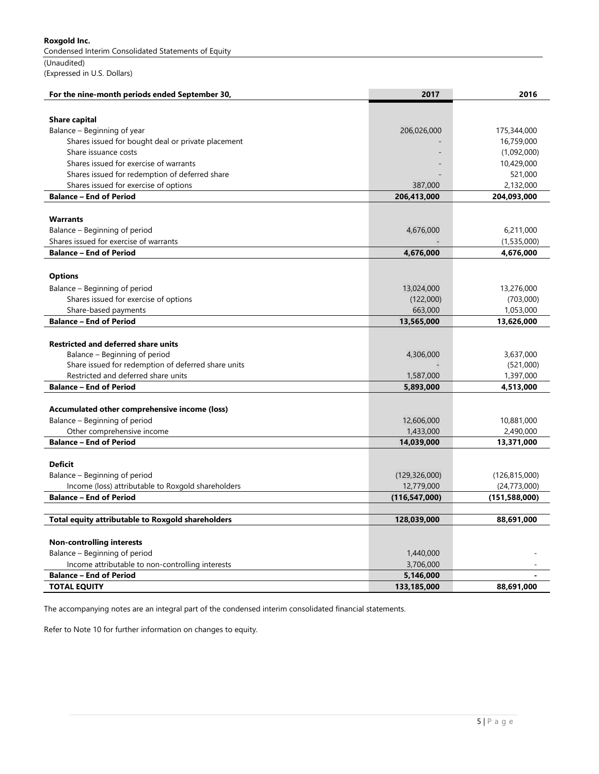Condensed Interim Consolidated Statements of Equity

(Unaudited) (Expressed in U.S. Dollars)

| For the nine-month periods ended September 30,      | 2017            | 2016            |
|-----------------------------------------------------|-----------------|-----------------|
|                                                     |                 |                 |
| <b>Share capital</b>                                |                 |                 |
| Balance – Beginning of year                         | 206,026,000     | 175,344,000     |
| Shares issued for bought deal or private placement  |                 | 16,759,000      |
| Share issuance costs                                |                 | (1,092,000)     |
| Shares issued for exercise of warrants              |                 | 10,429,000      |
| Shares issued for redemption of deferred share      |                 | 521,000         |
| Shares issued for exercise of options               | 387,000         | 2,132,000       |
| <b>Balance - End of Period</b>                      | 206,413,000     | 204,093,000     |
|                                                     |                 |                 |
| <b>Warrants</b>                                     |                 |                 |
| Balance – Beginning of period                       | 4,676,000       | 6,211,000       |
| Shares issued for exercise of warrants              |                 | (1,535,000)     |
| <b>Balance - End of Period</b>                      | 4,676,000       | 4,676,000       |
|                                                     |                 |                 |
| <b>Options</b>                                      |                 |                 |
| Balance – Beginning of period                       | 13,024,000      | 13,276,000      |
| Shares issued for exercise of options               | (122,000)       | (703,000)       |
| Share-based payments                                | 663,000         | 1,053,000       |
| <b>Balance - End of Period</b>                      | 13,565,000      | 13,626,000      |
|                                                     |                 |                 |
| <b>Restricted and deferred share units</b>          |                 |                 |
| Balance – Beginning of period                       | 4,306,000       | 3,637,000       |
| Share issued for redemption of deferred share units |                 | (521,000)       |
| Restricted and deferred share units                 | 1,587,000       | 1,397,000       |
| <b>Balance - End of Period</b>                      | 5,893,000       | 4,513,000       |
|                                                     |                 |                 |
| Accumulated other comprehensive income (loss)       |                 |                 |
| Balance - Beginning of period                       | 12,606,000      | 10,881,000      |
| Other comprehensive income                          | 1,433,000       | 2,490,000       |
| <b>Balance - End of Period</b>                      | 14,039,000      | 13,371,000      |
|                                                     |                 |                 |
| <b>Deficit</b>                                      |                 |                 |
| Balance - Beginning of period                       | (129, 326, 000) | (126, 815, 000) |
| Income (loss) attributable to Roxgold shareholders  | 12,779,000      | (24, 773, 000)  |
| <b>Balance - End of Period</b>                      | (116, 547, 000) | (151,588,000)   |
|                                                     |                 |                 |
| Total equity attributable to Roxgold shareholders   | 128,039,000     | 88,691,000      |
|                                                     |                 |                 |
| <b>Non-controlling interests</b>                    |                 |                 |
| Balance - Beginning of period                       | 1,440,000       |                 |
| Income attributable to non-controlling interests    | 3,706,000       |                 |
| <b>Balance - End of Period</b>                      | 5,146,000       |                 |
| <b>TOTAL EQUITY</b>                                 | 133,185,000     | 88,691,000      |

The accompanying notes are an integral part of the condensed interim consolidated financial statements.

Refer to Note 10 for further information on changes to equity.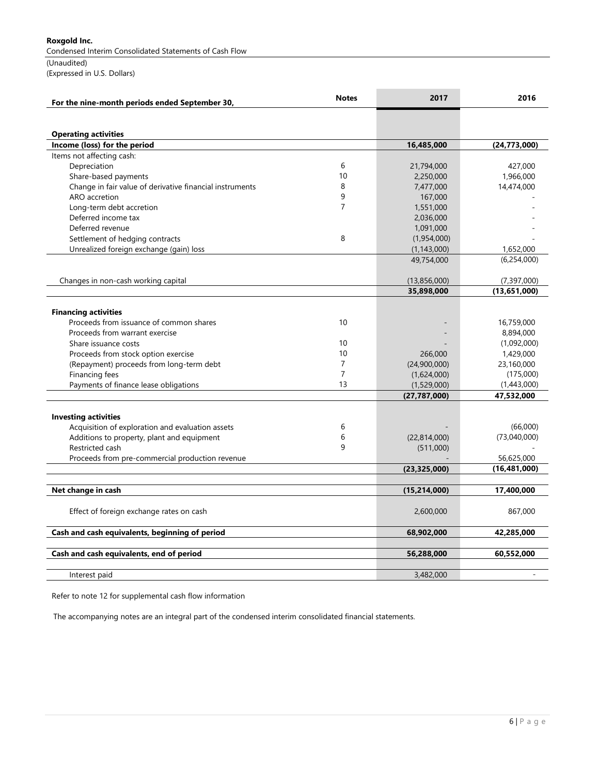Condensed Interim Consolidated Statements of Cash Flow

(Unaudited) (Expressed in U.S. Dollars)

| For the nine-month periods ended September 30,              | <b>Notes</b>   | 2017           | 2016           |
|-------------------------------------------------------------|----------------|----------------|----------------|
|                                                             |                |                |                |
|                                                             |                |                |                |
| <b>Operating activities</b><br>Income (loss) for the period |                | 16,485,000     | (24, 773, 000) |
| Items not affecting cash:                                   |                |                |                |
| Depreciation                                                | 6              | 21,794,000     | 427,000        |
| Share-based payments                                        | 10             | 2,250,000      | 1,966,000      |
| Change in fair value of derivative financial instruments    | 8              | 7,477,000      | 14,474,000     |
| ARO accretion                                               | 9              | 167,000        |                |
| Long-term debt accretion                                    | $\overline{7}$ | 1,551,000      |                |
| Deferred income tax                                         |                | 2,036,000      |                |
| Deferred revenue                                            |                | 1,091,000      |                |
| Settlement of hedging contracts                             | 8              | (1,954,000)    |                |
| Unrealized foreign exchange (gain) loss                     |                | (1, 143, 000)  | 1,652,000      |
|                                                             |                | 49,754,000     | (6, 254, 000)  |
| Changes in non-cash working capital                         |                | (13,856,000)   | (7, 397, 000)  |
|                                                             |                | 35,898,000     | (13,651,000)   |
|                                                             |                |                |                |
| <b>Financing activities</b>                                 |                |                |                |
| Proceeds from issuance of common shares                     | 10             |                | 16,759,000     |
| Proceeds from warrant exercise                              |                |                | 8,894,000      |
| Share issuance costs                                        | 10             |                | (1,092,000)    |
| Proceeds from stock option exercise                         | 10             | 266,000        | 1,429,000      |
| (Repayment) proceeds from long-term debt                    | $\overline{7}$ | (24,900,000)   | 23,160,000     |
| Financing fees                                              | $\overline{7}$ | (1,624,000)    | (175,000)      |
| Payments of finance lease obligations                       | 13             | (1,529,000)    | (1,443,000)    |
|                                                             |                | (27, 787, 000) | 47,532,000     |
|                                                             |                |                |                |
| <b>Investing activities</b>                                 |                |                |                |
| Acquisition of exploration and evaluation assets            | 6              |                | (66,000)       |
| Additions to property, plant and equipment                  | 6              | (22,814,000)   | (73,040,000)   |
| Restricted cash                                             | 9              | (511,000)      |                |
| Proceeds from pre-commercial production revenue             |                |                | 56,625,000     |
|                                                             |                | (23, 325, 000) | (16, 481, 000) |
| Net change in cash                                          |                | (15, 214, 000) | 17,400,000     |
|                                                             |                |                |                |
| Effect of foreign exchange rates on cash                    |                | 2,600,000      | 867,000        |
| Cash and cash equivalents, beginning of period              |                | 68,902,000     | 42,285,000     |
| Cash and cash equivalents, end of period                    |                | 56,288,000     | 60,552,000     |
|                                                             |                |                |                |
| Interest paid                                               |                | 3,482,000      |                |

Refer to note 12 for supplemental cash flow information

The accompanying notes are an integral part of the condensed interim consolidated financial statements.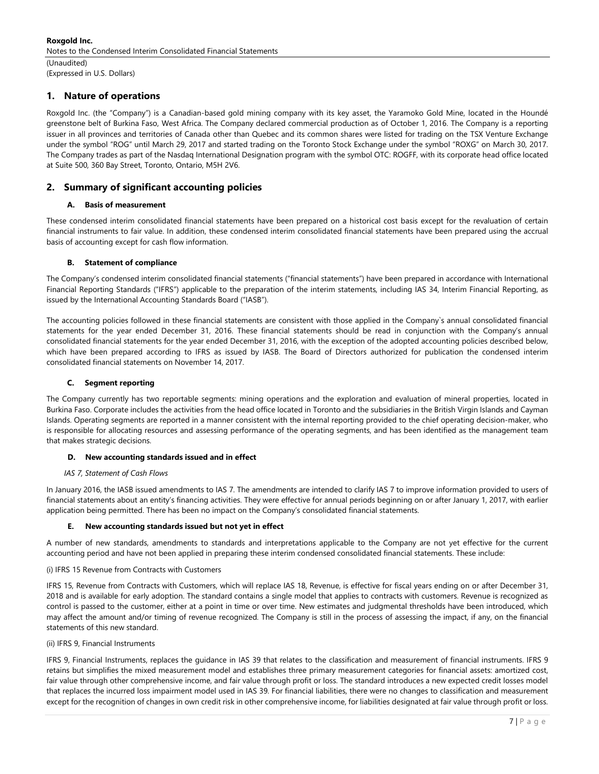## 1. Nature of operations

Roxgold Inc. (the "Company") is a Canadian-based gold mining company with its key asset, the Yaramoko Gold Mine, located in the Houndé greenstone belt of Burkina Faso, West Africa. The Company declared commercial production as of October 1, 2016. The Company is a reporting issuer in all provinces and territories of Canada other than Quebec and its common shares were listed for trading on the TSX Venture Exchange under the symbol "ROG" until March 29, 2017 and started trading on the Toronto Stock Exchange under the symbol "ROXG" on March 30, 2017. The Company trades as part of the Nasdaq International Designation program with the symbol OTC: ROGFF, with its corporate head office located at Suite 500, 360 Bay Street, Toronto, Ontario, M5H 2V6.

### 2. Summary of significant accounting policies

### A. Basis of measurement

These condensed interim consolidated financial statements have been prepared on a historical cost basis except for the revaluation of certain financial instruments to fair value. In addition, these condensed interim consolidated financial statements have been prepared using the accrual basis of accounting except for cash flow information.

#### B. Statement of compliance

The Company's condensed interim consolidated financial statements ("financial statements") have been prepared in accordance with International Financial Reporting Standards ("IFRS") applicable to the preparation of the interim statements, including IAS 34, Interim Financial Reporting, as issued by the International Accounting Standards Board ("IASB").

The accounting policies followed in these financial statements are consistent with those applied in the Company`s annual consolidated financial statements for the year ended December 31, 2016. These financial statements should be read in conjunction with the Company's annual consolidated financial statements for the year ended December 31, 2016, with the exception of the adopted accounting policies described below, which have been prepared according to IFRS as issued by IASB. The Board of Directors authorized for publication the condensed interim consolidated financial statements on November 14, 2017.

#### C. Segment reporting

The Company currently has two reportable segments: mining operations and the exploration and evaluation of mineral properties, located in Burkina Faso. Corporate includes the activities from the head office located in Toronto and the subsidiaries in the British Virgin Islands and Cayman Islands. Operating segments are reported in a manner consistent with the internal reporting provided to the chief operating decision-maker, who is responsible for allocating resources and assessing performance of the operating segments, and has been identified as the management team that makes strategic decisions.

#### D. New accounting standards issued and in effect

#### IAS 7, Statement of Cash Flows

In January 2016, the IASB issued amendments to IAS 7. The amendments are intended to clarify IAS 7 to improve information provided to users of financial statements about an entity's financing activities. They were effective for annual periods beginning on or after January 1, 2017, with earlier application being permitted. There has been no impact on the Company's consolidated financial statements.

#### E. New accounting standards issued but not yet in effect

A number of new standards, amendments to standards and interpretations applicable to the Company are not yet effective for the current accounting period and have not been applied in preparing these interim condensed consolidated financial statements. These include:

#### (i) IFRS 15 Revenue from Contracts with Customers

IFRS 15, Revenue from Contracts with Customers, which will replace IAS 18, Revenue, is effective for fiscal years ending on or after December 31, 2018 and is available for early adoption. The standard contains a single model that applies to contracts with customers. Revenue is recognized as control is passed to the customer, either at a point in time or over time. New estimates and judgmental thresholds have been introduced, which may affect the amount and/or timing of revenue recognized. The Company is still in the process of assessing the impact, if any, on the financial statements of this new standard.

#### (ii) IFRS 9, Financial Instruments

IFRS 9, Financial Instruments, replaces the guidance in IAS 39 that relates to the classification and measurement of financial instruments. IFRS 9 retains but simplifies the mixed measurement model and establishes three primary measurement categories for financial assets: amortized cost, fair value through other comprehensive income, and fair value through profit or loss. The standard introduces a new expected credit losses model that replaces the incurred loss impairment model used in IAS 39. For financial liabilities, there were no changes to classification and measurement except for the recognition of changes in own credit risk in other comprehensive income, for liabilities designated at fair value through profit or loss.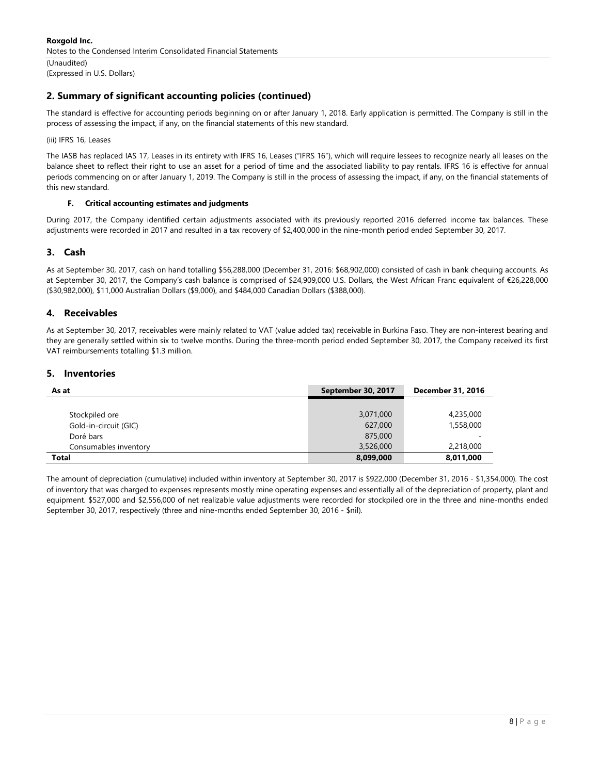(Unaudited) (Expressed in U.S. Dollars)

# 2. Summary of significant accounting policies (continued)

The standard is effective for accounting periods beginning on or after January 1, 2018. Early application is permitted. The Company is still in the process of assessing the impact, if any, on the financial statements of this new standard.

(iii) IFRS 16, Leases

The IASB has replaced IAS 17, Leases in its entirety with IFRS 16, Leases ("IFRS 16"), which will require lessees to recognize nearly all leases on the balance sheet to reflect their right to use an asset for a period of time and the associated liability to pay rentals. IFRS 16 is effective for annual periods commencing on or after January 1, 2019. The Company is still in the process of assessing the impact, if any, on the financial statements of this new standard.

### F. Critical accounting estimates and judgments

During 2017, the Company identified certain adjustments associated with its previously reported 2016 deferred income tax balances. These adjustments were recorded in 2017 and resulted in a tax recovery of \$2,400,000 in the nine-month period ended September 30, 2017.

### 3. Cash

As at September 30, 2017, cash on hand totalling \$56,288,000 (December 31, 2016: \$68,902,000) consisted of cash in bank chequing accounts. As at September 30, 2017, the Company's cash balance is comprised of \$24,909,000 U.S. Dollars, the West African Franc equivalent of €26,228,000 (\$30,982,000), \$11,000 Australian Dollars (\$9,000), and \$484,000 Canadian Dollars (\$388,000).

### 4. Receivables

As at September 30, 2017, receivables were mainly related to VAT (value added tax) receivable in Burkina Faso. They are non-interest bearing and they are generally settled within six to twelve months. During the three-month period ended September 30, 2017, the Company received its first VAT reimbursements totalling \$1.3 million.

### 5. Inventories

| As at                 | September 30, 2017 | <b>December 31, 2016</b> |
|-----------------------|--------------------|--------------------------|
|                       |                    |                          |
| Stockpiled ore        | 3,071,000          | 4,235,000                |
| Gold-in-circuit (GIC) | 627,000            | 1,558,000                |
| Doré bars             | 875,000            | -                        |
| Consumables inventory | 3,526,000          | 2,218,000                |
| <b>Total</b>          | 8,099,000          | 8,011,000                |

The amount of depreciation (cumulative) included within inventory at September 30, 2017 is \$922,000 (December 31, 2016 - \$1,354,000). The cost of inventory that was charged to expenses represents mostly mine operating expenses and essentially all of the depreciation of property, plant and equipment. \$527,000 and \$2,556,000 of net realizable value adjustments were recorded for stockpiled ore in the three and nine-months ended September 30, 2017, respectively (three and nine-months ended September 30, 2016 - \$nil).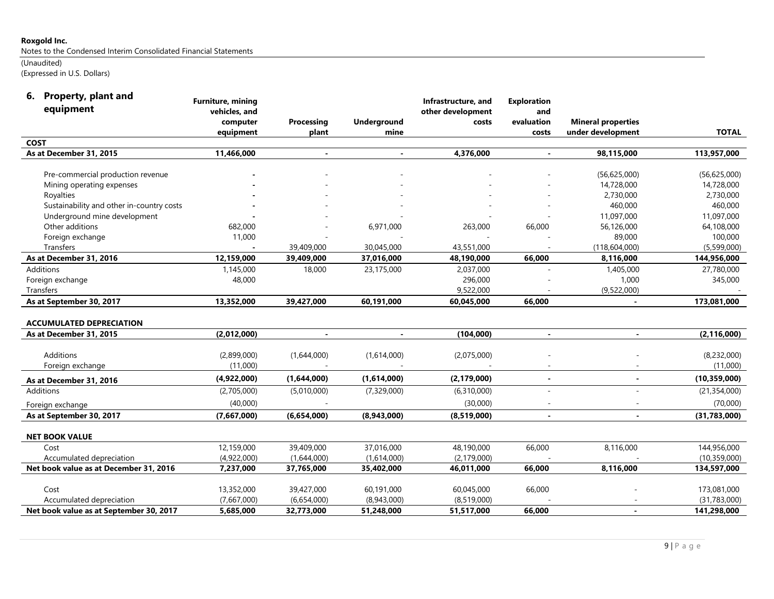Notes to the Condensed Interim Consolidated Financial Statements

# (Unaudited)

(Expressed in U.S. Dollars)

| 6. Property, plant and |  |
|------------------------|--|

| equipment                                 | <b>Furniture, mining</b><br>vehicles, and |                     |                            | Infrastructure, and<br>other development | <b>Exploration</b> |                                                |                |
|-------------------------------------------|-------------------------------------------|---------------------|----------------------------|------------------------------------------|--------------------|------------------------------------------------|----------------|
|                                           |                                           |                     |                            |                                          | and<br>evaluation  |                                                |                |
|                                           | computer<br>equipment                     | Processing<br>plant | <b>Underground</b><br>mine | costs                                    |                    | <b>Mineral properties</b><br>under development | <b>TOTAL</b>   |
| <b>COST</b>                               |                                           |                     |                            |                                          | costs              |                                                |                |
| As at December 31, 2015                   | 11,466,000                                |                     |                            | 4,376,000                                |                    |                                                | 113,957,000    |
|                                           |                                           |                     |                            |                                          |                    | 98,115,000                                     |                |
| Pre-commercial production revenue         |                                           |                     |                            |                                          |                    | (56,625,000)                                   | (56,625,000)   |
| Mining operating expenses                 |                                           |                     |                            |                                          |                    | 14,728,000                                     | 14,728,000     |
| Royalties                                 |                                           |                     |                            |                                          |                    | 2,730,000                                      | 2,730,000      |
| Sustainability and other in-country costs |                                           |                     |                            |                                          |                    | 460,000                                        | 460,000        |
| Underground mine development              |                                           |                     |                            |                                          |                    | 11,097,000                                     | 11,097,000     |
| Other additions                           | 682,000                                   |                     | 6,971,000                  | 263,000                                  | 66,000             | 56,126,000                                     | 64,108,000     |
| Foreign exchange                          | 11,000                                    |                     |                            |                                          |                    | 89,000                                         | 100,000        |
| Transfers                                 |                                           | 39,409,000          | 30,045,000                 | 43,551,000                               |                    | (118, 604, 000)                                | (5,599,000)    |
| As at December 31, 2016                   | 12,159,000                                | 39,409,000          | 37,016,000                 | 48,190,000                               | 66,000             | 8,116,000                                      | 144,956,000    |
| Additions                                 | 1,145,000                                 | 18,000              | 23,175,000                 | 2,037,000                                |                    | 1,405,000                                      | 27,780,000     |
| Foreign exchange                          | 48,000                                    |                     |                            | 296,000                                  |                    | 1,000                                          | 345,000        |
| Transfers                                 |                                           |                     |                            | 9,522,000                                |                    | (9,522,000)                                    |                |
| As at September 30, 2017                  | 13,352,000                                | 39,427,000          | 60,191,000                 | 60,045,000                               | 66,000             |                                                | 173,081,000    |
|                                           |                                           |                     |                            |                                          |                    |                                                |                |
| <b>ACCUMULATED DEPRECIATION</b>           |                                           |                     |                            |                                          |                    |                                                |                |
| As at December 31, 2015                   | (2,012,000)                               | $\blacksquare$      |                            | (104,000)                                | $\blacksquare$     | $\blacksquare$                                 | (2, 116, 000)  |
| Additions                                 | (2,899,000)                               | (1,644,000)         | (1,614,000)                | (2,075,000)                              |                    |                                                | (8,232,000)    |
| Foreign exchange                          | (11,000)                                  |                     |                            |                                          |                    |                                                | (11,000)       |
| As at December 31, 2016                   | (4,922,000)                               | (1,644,000)         | (1,614,000)                | (2, 179, 000)                            | $\blacksquare$     |                                                | (10, 359, 000) |
| Additions                                 | (2,705,000)                               | (5,010,000)         | (7,329,000)                | (6,310,000)                              | ÷.                 |                                                | (21, 354, 000) |
| Foreign exchange                          | (40,000)                                  |                     |                            | (30,000)                                 |                    |                                                | (70,000)       |
| As at September 30, 2017                  | (7,667,000)                               | (6,654,000)         | (8,943,000)                | (8,519,000)                              | $\blacksquare$     |                                                | (31,783,000)   |
|                                           |                                           |                     |                            |                                          |                    |                                                |                |
| <b>NET BOOK VALUE</b>                     |                                           |                     |                            |                                          |                    |                                                |                |
| Cost                                      | 12,159,000                                | 39,409,000          | 37,016,000                 | 48,190,000                               | 66,000             | 8,116,000                                      | 144,956,000    |
| Accumulated depreciation                  | (4,922,000)                               | (1,644,000)         | (1,614,000)                | (2, 179, 000)                            |                    |                                                | (10, 359, 000) |
| Net book value as at December 31, 2016    | 7,237,000                                 | 37,765,000          | 35,402,000                 | 46,011,000                               | 66,000             | 8,116,000                                      | 134,597,000    |
|                                           |                                           |                     |                            |                                          |                    |                                                |                |
| Cost                                      | 13,352,000                                | 39,427,000          | 60,191,000                 | 60,045,000                               | 66,000             |                                                | 173,081,000    |
| Accumulated depreciation                  | (7,667,000)                               | (6,654,000)         | (8,943,000)                | (8,519,000)                              |                    |                                                | (31,783,000)   |
| Net book value as at September 30, 2017   | 5,685,000                                 | 32,773,000          | 51,248,000                 | 51,517,000                               | 66,000             |                                                | 141,298,000    |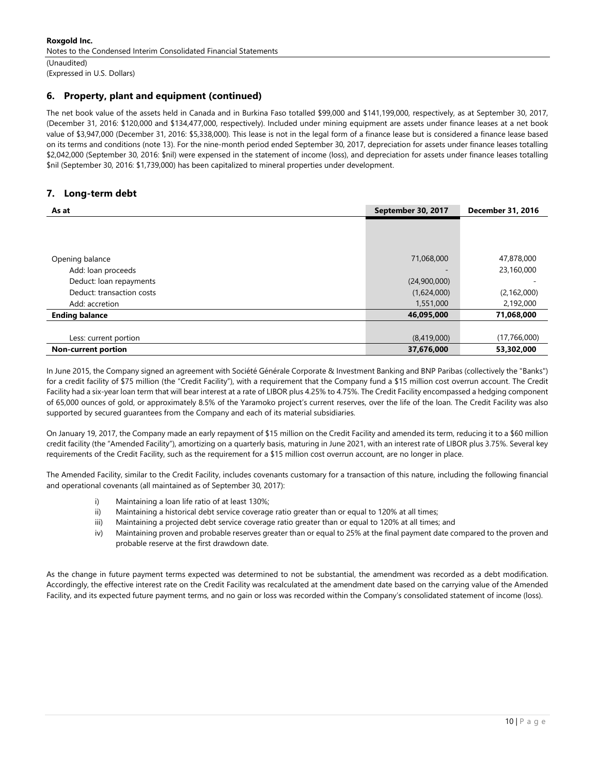# 6. Property, plant and equipment (continued)

The net book value of the assets held in Canada and in Burkina Faso totalled \$99,000 and \$141,199,000, respectively, as at September 30, 2017, (December 31, 2016: \$120,000 and \$134,477,000, respectively). Included under mining equipment are assets under finance leases at a net book value of \$3,947,000 (December 31, 2016: \$5,338,000). This lease is not in the legal form of a finance lease but is considered a finance lease based on its terms and conditions (note 13). For the nine-month period ended September 30, 2017, depreciation for assets under finance leases totalling \$2,042,000 (September 30, 2016: \$nil) were expensed in the statement of income (loss), and depreciation for assets under finance leases totalling \$nil (September 30, 2016: \$1,739,000) has been capitalized to mineral properties under development.

# 7. Long-term debt

| As at                      | September 30, 2017 | <b>December 31, 2016</b> |
|----------------------------|--------------------|--------------------------|
|                            |                    |                          |
|                            |                    |                          |
|                            |                    |                          |
| Opening balance            | 71,068,000         | 47,878,000               |
| Add: loan proceeds         |                    | 23,160,000               |
| Deduct: loan repayments    | (24,900,000)       |                          |
| Deduct: transaction costs  | (1,624,000)        | (2, 162, 000)            |
| Add: accretion             | 1,551,000          | 2,192,000                |
| <b>Ending balance</b>      | 46,095,000         | 71,068,000               |
|                            |                    |                          |
| Less: current portion      | (8,419,000)        | (17,766,000)             |
| <b>Non-current portion</b> | 37,676,000         | 53,302,000               |

In June 2015, the Company signed an agreement with Société Générale Corporate & Investment Banking and BNP Paribas (collectively the "Banks") for a credit facility of \$75 million (the "Credit Facility"), with a requirement that the Company fund a \$15 million cost overrun account. The Credit Facility had a six-year loan term that will bear interest at a rate of LIBOR plus 4.25% to 4.75%. The Credit Facility encompassed a hedging component of 65,000 ounces of gold, or approximately 8.5% of the Yaramoko project's current reserves, over the life of the loan. The Credit Facility was also supported by secured guarantees from the Company and each of its material subsidiaries.

On January 19, 2017, the Company made an early repayment of \$15 million on the Credit Facility and amended its term, reducing it to a \$60 million credit facility (the "Amended Facility"), amortizing on a quarterly basis, maturing in June 2021, with an interest rate of LIBOR plus 3.75%. Several key requirements of the Credit Facility, such as the requirement for a \$15 million cost overrun account, are no longer in place.

The Amended Facility, similar to the Credit Facility, includes covenants customary for a transaction of this nature, including the following financial and operational covenants (all maintained as of September 30, 2017):

- i) Maintaining a loan life ratio of at least 130%;
- ii) Maintaining a historical debt service coverage ratio greater than or equal to 120% at all times;
- iii) Maintaining a projected debt service coverage ratio greater than or equal to 120% at all times; and
- iv) Maintaining proven and probable reserves greater than or equal to 25% at the final payment date compared to the proven and probable reserve at the first drawdown date.

As the change in future payment terms expected was determined to not be substantial, the amendment was recorded as a debt modification. Accordingly, the effective interest rate on the Credit Facility was recalculated at the amendment date based on the carrying value of the Amended Facility, and its expected future payment terms, and no gain or loss was recorded within the Company's consolidated statement of income (loss).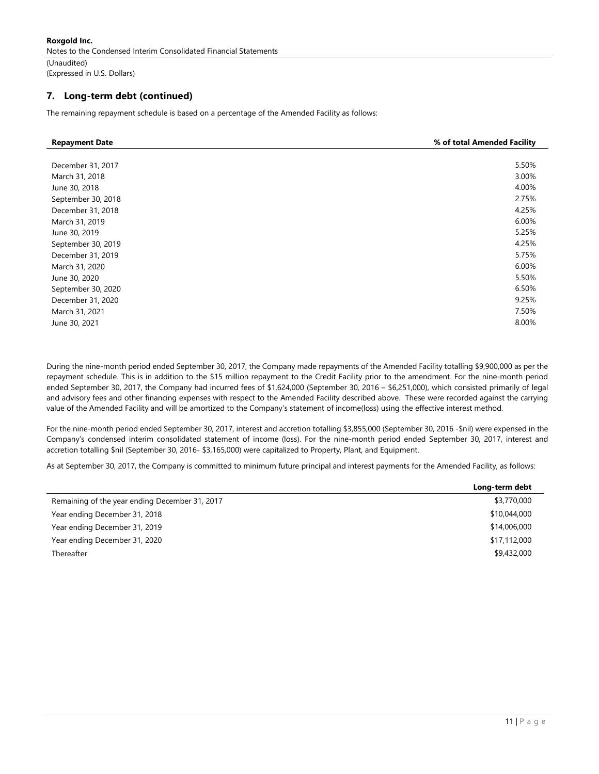Roxgold Inc. Notes to the Condensed Interim Consolidated Financial Statements

(Unaudited) (Expressed in U.S. Dollars)

### 7. Long-term debt (continued)

The remaining repayment schedule is based on a percentage of the Amended Facility as follows:

| <b>Repayment Date</b> | % of total Amended Facility |
|-----------------------|-----------------------------|
|                       |                             |
| December 31, 2017     | 5.50%                       |
| March 31, 2018        | 3.00%                       |
| June 30, 2018         | 4.00%                       |
| September 30, 2018    | 2.75%                       |
| December 31, 2018     | 4.25%                       |
| March 31, 2019        | 6.00%                       |
| June 30, 2019         | 5.25%                       |
| September 30, 2019    | 4.25%                       |
| December 31, 2019     | 5.75%                       |
| March 31, 2020        | 6.00%                       |
| June 30, 2020         | 5.50%                       |
| September 30, 2020    | 6.50%                       |
| December 31, 2020     | 9.25%                       |
| March 31, 2021        | 7.50%                       |
| June 30, 2021         | 8.00%                       |

During the nine-month period ended September 30, 2017, the Company made repayments of the Amended Facility totalling \$9,900,000 as per the repayment schedule. This is in addition to the \$15 million repayment to the Credit Facility prior to the amendment. For the nine-month period ended September 30, 2017, the Company had incurred fees of \$1,624,000 (September 30, 2016 – \$6,251,000), which consisted primarily of legal and advisory fees and other financing expenses with respect to the Amended Facility described above. These were recorded against the carrying value of the Amended Facility and will be amortized to the Company's statement of income(loss) using the effective interest method.

For the nine-month period ended September 30, 2017, interest and accretion totalling \$3,855,000 (September 30, 2016 -\$nil) were expensed in the Company's condensed interim consolidated statement of income (loss). For the nine-month period ended September 30, 2017, interest and accretion totalling \$nil (September 30, 2016- \$3,165,000) were capitalized to Property, Plant, and Equipment.

As at September 30, 2017, the Company is committed to minimum future principal and interest payments for the Amended Facility, as follows:

|                                                | Long-term debt |
|------------------------------------------------|----------------|
| Remaining of the year ending December 31, 2017 | \$3,770,000    |
| Year ending December 31, 2018                  | \$10,044,000   |
| Year ending December 31, 2019                  | \$14,006,000   |
| Year ending December 31, 2020                  | \$17,112,000   |
| Thereafter                                     | \$9,432,000    |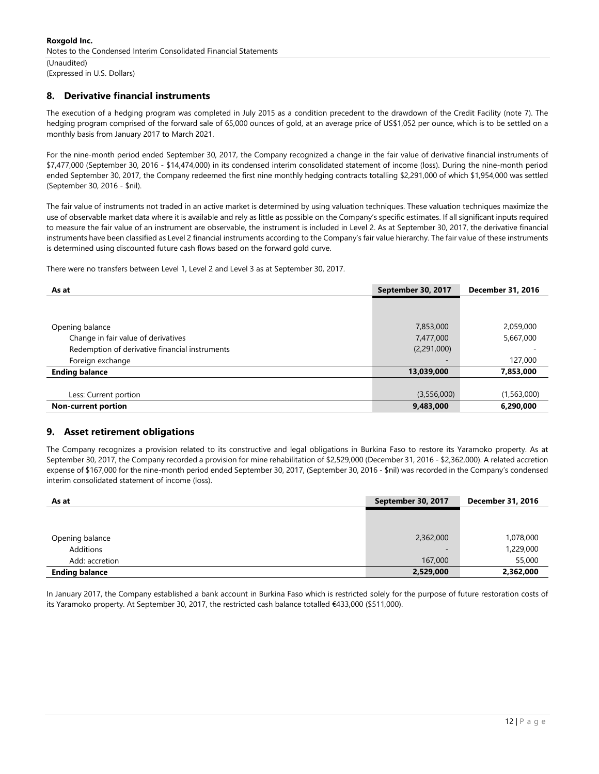## 8. Derivative financial instruments

The execution of a hedging program was completed in July 2015 as a condition precedent to the drawdown of the Credit Facility (note 7). The hedging program comprised of the forward sale of 65,000 ounces of gold, at an average price of US\$1,052 per ounce, which is to be settled on a monthly basis from January 2017 to March 2021.

For the nine-month period ended September 30, 2017, the Company recognized a change in the fair value of derivative financial instruments of \$7,477,000 (September 30, 2016 - \$14,474,000) in its condensed interim consolidated statement of income (loss). During the nine-month period ended September 30, 2017, the Company redeemed the first nine monthly hedging contracts totalling \$2,291,000 of which \$1,954,000 was settled (September 30, 2016 - \$nil).

The fair value of instruments not traded in an active market is determined by using valuation techniques. These valuation techniques maximize the use of observable market data where it is available and rely as little as possible on the Company's specific estimates. If all significant inputs required to measure the fair value of an instrument are observable, the instrument is included in Level 2. As at September 30, 2017, the derivative financial instruments have been classified as Level 2 financial instruments according to the Company's fair value hierarchy. The fair value of these instruments is determined using discounted future cash flows based on the forward gold curve.

There were no transfers between Level 1, Level 2 and Level 3 as at September 30, 2017.

| As at                                          | September 30, 2017 | <b>December 31, 2016</b> |
|------------------------------------------------|--------------------|--------------------------|
|                                                |                    |                          |
|                                                |                    |                          |
| Opening balance                                | 7,853,000          | 2,059,000                |
| Change in fair value of derivatives            | 7,477,000          | 5,667,000                |
| Redemption of derivative financial instruments | (2,291,000)        |                          |
| Foreign exchange                               |                    | 127,000                  |
| <b>Ending balance</b>                          | 13,039,000         | 7,853,000                |
|                                                |                    |                          |
| Less: Current portion                          | (3,556,000)        | (1,563,000)              |
| <b>Non-current portion</b>                     | 9,483,000          | 6,290,000                |

### 9. Asset retirement obligations

The Company recognizes a provision related to its constructive and legal obligations in Burkina Faso to restore its Yaramoko property. As at September 30, 2017, the Company recorded a provision for mine rehabilitation of \$2,529,000 (December 31, 2016 - \$2,362,000). A related accretion expense of \$167,000 for the nine-month period ended September 30, 2017, (September 30, 2016 - \$nil) was recorded in the Company's condensed interim consolidated statement of income (loss).

| As at                 | September 30, 2017       | <b>December 31, 2016</b> |
|-----------------------|--------------------------|--------------------------|
|                       |                          |                          |
|                       |                          |                          |
| Opening balance       | 2,362,000                | 1,078,000                |
| Additions             | $\overline{\phantom{a}}$ | 1,229,000                |
| Add: accretion        | 167,000                  | 55,000                   |
| <b>Ending balance</b> | 2,529,000                | 2,362,000                |

In January 2017, the Company established a bank account in Burkina Faso which is restricted solely for the purpose of future restoration costs of its Yaramoko property. At September 30, 2017, the restricted cash balance totalled €433,000 (\$511,000).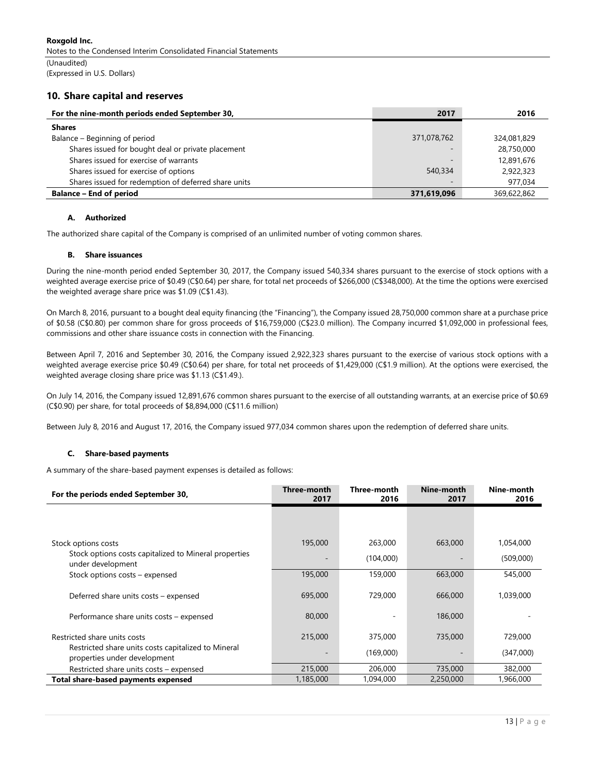Roxgold Inc. Notes to the Condensed Interim Consolidated Financial Statements

(Unaudited) (Expressed in U.S. Dollars)

### 10. Share capital and reserves

| For the nine-month periods ended September 30,       | 2017                     | 2016        |
|------------------------------------------------------|--------------------------|-------------|
| <b>Shares</b>                                        |                          |             |
| Balance – Beginning of period                        | 371,078,762              | 324,081,829 |
| Shares issued for bought deal or private placement   | $\overline{\phantom{a}}$ | 28,750,000  |
| Shares issued for exercise of warrants               | $\sim$                   | 12,891,676  |
| Shares issued for exercise of options                | 540,334                  | 2,922,323   |
| Shares issued for redemption of deferred share units | $\overline{\phantom{a}}$ | 977.034     |
| <b>Balance - End of period</b>                       | 371,619,096              | 369,622,862 |

#### A. Authorized

The authorized share capital of the Company is comprised of an unlimited number of voting common shares.

#### B. Share issuances

During the nine-month period ended September 30, 2017, the Company issued 540,334 shares pursuant to the exercise of stock options with a weighted average exercise price of \$0.49 (C\$0.64) per share, for total net proceeds of \$266,000 (C\$348,000). At the time the options were exercised the weighted average share price was \$1.09 (C\$1.43).

On March 8, 2016, pursuant to a bought deal equity financing (the "Financing"), the Company issued 28,750,000 common share at a purchase price of \$0.58 (C\$0.80) per common share for gross proceeds of \$16,759,000 (C\$23.0 million). The Company incurred \$1,092,000 in professional fees, commissions and other share issuance costs in connection with the Financing.

Between April 7, 2016 and September 30, 2016, the Company issued 2,922,323 shares pursuant to the exercise of various stock options with a weighted average exercise price \$0.49 (C\$0.64) per share, for total net proceeds of \$1,429,000 (C\$1.9 million). At the options were exercised, the weighted average closing share price was \$1.13 (C\$1.49.).

On July 14, 2016, the Company issued 12,891,676 common shares pursuant to the exercise of all outstanding warrants, at an exercise price of \$0.69 (C\$0.90) per share, for total proceeds of \$8,894,000 (C\$11.6 million)

Between July 8, 2016 and August 17, 2016, the Company issued 977,034 common shares upon the redemption of deferred share units.

#### C. Share-based payments

A summary of the share-based payment expenses is detailed as follows:

| For the periods ended September 30,                                                 | Three-month<br>2017 | Three-month<br>2016  | Nine-month<br>2017 | Nine-month<br>2016   |
|-------------------------------------------------------------------------------------|---------------------|----------------------|--------------------|----------------------|
|                                                                                     |                     |                      |                    |                      |
|                                                                                     |                     |                      |                    |                      |
| Stock options costs                                                                 | 195,000             | 263,000              | 663,000            | 1,054,000            |
| Stock options costs capitalized to Mineral properties<br>under development          |                     | (104,000)            |                    | (509,000)            |
| Stock options costs – expensed                                                      | 195,000             | 159,000              | 663,000            | 545,000              |
| Deferred share units costs - expensed                                               | 695,000             | 729,000              | 666,000            | 1,039,000            |
| Performance share units costs - expensed                                            | 80,000              |                      | 186,000            |                      |
| Restricted share units costs<br>Restricted share units costs capitalized to Mineral | 215,000             | 375,000<br>(169,000) | 735,000            | 729,000<br>(347,000) |
| properties under development                                                        | 215,000             | 206,000              | 735,000            | 382,000              |
| Restricted share units costs - expensed<br>Total share-based payments expensed      | 1,185,000           | 1,094,000            | 2,250,000          | 1,966,000            |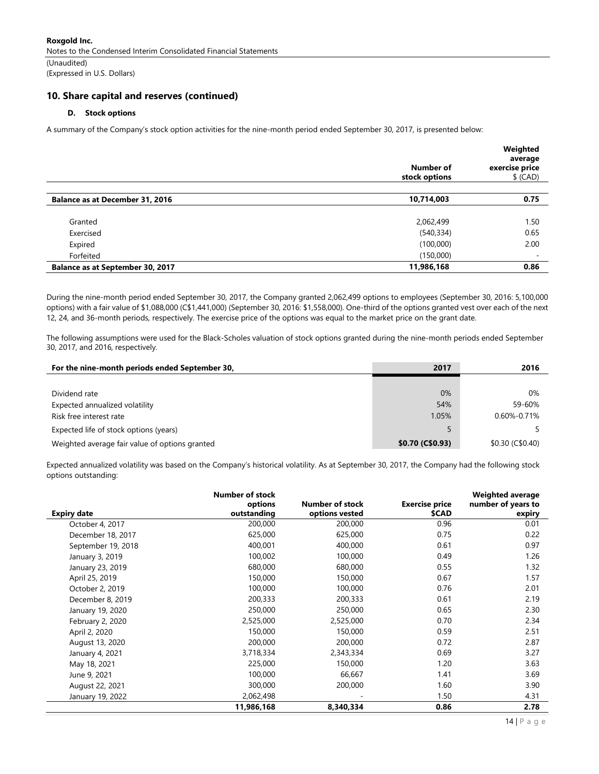Roxgold Inc. Notes to the Condensed Interim Consolidated Financial Statements (Unaudited)

(Expressed in U.S. Dollars)

### 10. Share capital and reserves (continued)

### D. Stock options

A summary of the Company's stock option activities for the nine-month period ended September 30, 2017, is presented below:

|                                         |               | Weighted<br>average |
|-----------------------------------------|---------------|---------------------|
|                                         | Number of     | exercise price      |
|                                         | stock options | $$$ (CAD)           |
|                                         |               |                     |
| <b>Balance as at December 31, 2016</b>  | 10,714,003    | 0.75                |
| Granted                                 | 2,062,499     | 1.50                |
| Exercised                               | (540, 334)    | 0.65                |
| Expired                                 | (100,000)     | 2.00                |
| Forfeited                               | (150,000)     | -                   |
| <b>Balance as at September 30, 2017</b> | 11,986,168    | 0.86                |

During the nine-month period ended September 30, 2017, the Company granted 2,062,499 options to employees (September 30, 2016: 5,100,000 options) with a fair value of \$1,088,000 (C\$1,441,000) (September 30, 2016: \$1,558,000). One-third of the options granted vest over each of the next 12, 24, and 36-month periods, respectively. The exercise price of the options was equal to the market price on the grant date.

The following assumptions were used for the Black-Scholes valuation of stock options granted during the nine-month periods ended September 30, 2017, and 2016, respectively.

| For the nine-month periods ended September 30, | 2017             | 2016                 |
|------------------------------------------------|------------------|----------------------|
|                                                |                  |                      |
| Dividend rate                                  | 0%               | $0\%$                |
| Expected annualized volatility                 | 54%              | 59-60%               |
| Risk free interest rate                        | 1.05%            | 0.60%-0.71%          |
| Expected life of stock options (years)         |                  |                      |
| Weighted average fair value of options granted | \$0.70 (C\$0.93) | $$0.30$ (C $$0.40$ ) |

Expected annualized volatility was based on the Company's historical volatility. As at September 30, 2017, the Company had the following stock options outstanding:

| <b>Expiry date</b> | <b>Number of stock</b><br>options<br>outstanding | Number of stock<br>options vested | <b>Exercise price</b><br>\$CAD | <b>Weighted average</b><br>number of years to<br>expiry |
|--------------------|--------------------------------------------------|-----------------------------------|--------------------------------|---------------------------------------------------------|
| October 4, 2017    | 200,000                                          | 200,000                           | 0.96                           | 0.01                                                    |
| December 18, 2017  | 625,000                                          | 625,000                           | 0.75                           | 0.22                                                    |
|                    | 400,001                                          | 400,000                           | 0.61                           | 0.97                                                    |
| September 19, 2018 |                                                  |                                   |                                | 1.26                                                    |
| January 3, 2019    | 100,002                                          | 100,000                           | 0.49                           |                                                         |
| January 23, 2019   | 680,000                                          | 680,000                           | 0.55                           | 1.32                                                    |
| April 25, 2019     | 150,000                                          | 150,000                           | 0.67                           | 1.57                                                    |
| October 2, 2019    | 100,000                                          | 100,000                           | 0.76                           | 2.01                                                    |
| December 8, 2019   | 200,333                                          | 200,333                           | 0.61                           | 2.19                                                    |
| January 19, 2020   | 250,000                                          | 250,000                           | 0.65                           | 2.30                                                    |
| February 2, 2020   | 2,525,000                                        | 2,525,000                         | 0.70                           | 2.34                                                    |
| April 2, 2020      | 150,000                                          | 150,000                           | 0.59                           | 2.51                                                    |
| August 13, 2020    | 200,000                                          | 200,000                           | 0.72                           | 2.87                                                    |
| January 4, 2021    | 3,718,334                                        | 2,343,334                         | 0.69                           | 3.27                                                    |
| May 18, 2021       | 225,000                                          | 150,000                           | 1.20                           | 3.63                                                    |
| June 9, 2021       | 100,000                                          | 66,667                            | 1.41                           | 3.69                                                    |
| August 22, 2021    | 300,000                                          | 200,000                           | 1.60                           | 3.90                                                    |
| January 19, 2022   | 2,062,498                                        |                                   | 1.50                           | 4.31                                                    |
|                    | 11,986,168                                       | 8,340,334                         | 0.86                           | 2.78                                                    |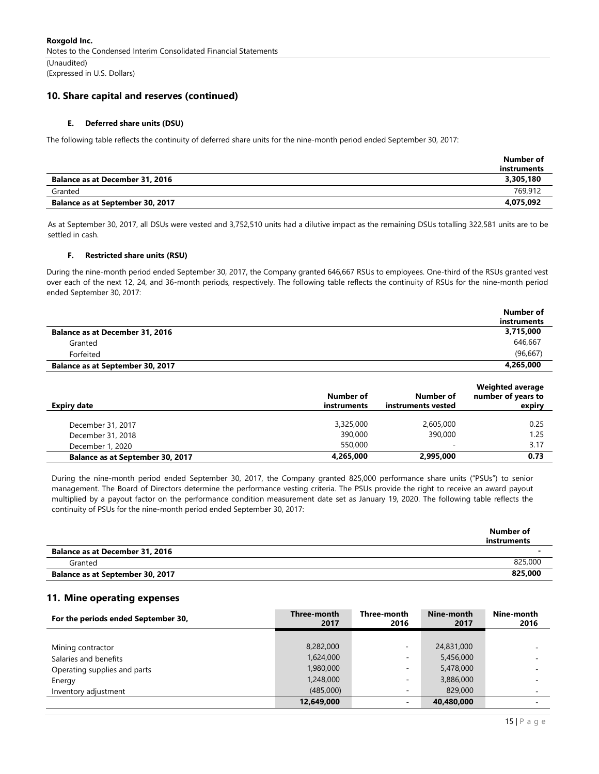### 10. Share capital and reserves (continued)

### E. Deferred share units (DSU)

The following table reflects the continuity of deferred share units for the nine-month period ended September 30, 2017:

|                                         | Number of<br>instruments |
|-----------------------------------------|--------------------------|
| <b>Balance as at December 31, 2016</b>  | 3,305,180                |
| Granted                                 | 769.912                  |
| <b>Balance as at September 30, 2017</b> | 4,075,092                |

As at September 30, 2017, all DSUs were vested and 3,752,510 units had a dilutive impact as the remaining DSUs totalling 322,581 units are to be settled in cash.

#### F. Restricted share units (RSU)

During the nine-month period ended September 30, 2017, the Company granted 646,667 RSUs to employees. One-third of the RSUs granted vest over each of the next 12, 24, and 36-month periods, respectively. The following table reflects the continuity of RSUs for the nine-month period ended September 30, 2017:

|                                         | Number of   |
|-----------------------------------------|-------------|
|                                         | instruments |
| <b>Balance as at December 31, 2016</b>  | 3,715,000   |
| Granted                                 | 646.667     |
| Forfeited                               | (96.667)    |
| <b>Balance as at September 30, 2017</b> | 4,265,000   |

| Expiry date                             | Number of<br>instruments | Number of<br>instruments vested | <b>Weighted average</b><br>number of years to<br>expiry |
|-----------------------------------------|--------------------------|---------------------------------|---------------------------------------------------------|
| December 31, 2017                       | 3,325,000                | 2,605,000                       | 0.25                                                    |
| December 31, 2018                       | 390,000                  | 390,000                         | 1.25                                                    |
| December 1, 2020                        | 550,000                  |                                 | 3.17                                                    |
| <b>Balance as at September 30, 2017</b> | 4,265,000                | 2,995,000                       | 0.73                                                    |

During the nine-month period ended September 30, 2017, the Company granted 825,000 performance share units ("PSUs") to senior management. The Board of Directors determine the performance vesting criteria. The PSUs provide the right to receive an award payout multiplied by a payout factor on the performance condition measurement date set as January 19, 2020. The following table reflects the continuity of PSUs for the nine-month period ended September 30, 2017:

|                                         | Number of<br>instruments |
|-----------------------------------------|--------------------------|
| <b>Balance as at December 31, 2016</b>  |                          |
| Granted                                 | 825,000                  |
| <b>Balance as at September 30, 2017</b> | 825,000                  |

### 11. Mine operating expenses

| For the periods ended September 30, | Three-month<br>2017 | Three-month<br>2016      | Nine-month<br>2017 | Nine-month<br>2016 |
|-------------------------------------|---------------------|--------------------------|--------------------|--------------------|
|                                     |                     |                          |                    |                    |
| Mining contractor                   | 8,282,000           | ۰                        | 24,831,000         |                    |
| Salaries and benefits               | 1,624,000           | $\overline{\phantom{a}}$ | 5,456,000          |                    |
| Operating supplies and parts        | 1,980,000           |                          | 5,478,000          |                    |
| Energy                              | 1,248,000           | $\overline{\phantom{a}}$ | 3,886,000          |                    |
| Inventory adjustment                | (485,000)           | $\overline{\phantom{a}}$ | 829,000            |                    |
|                                     | 12,649,000          | $\blacksquare$           | 40,480,000         |                    |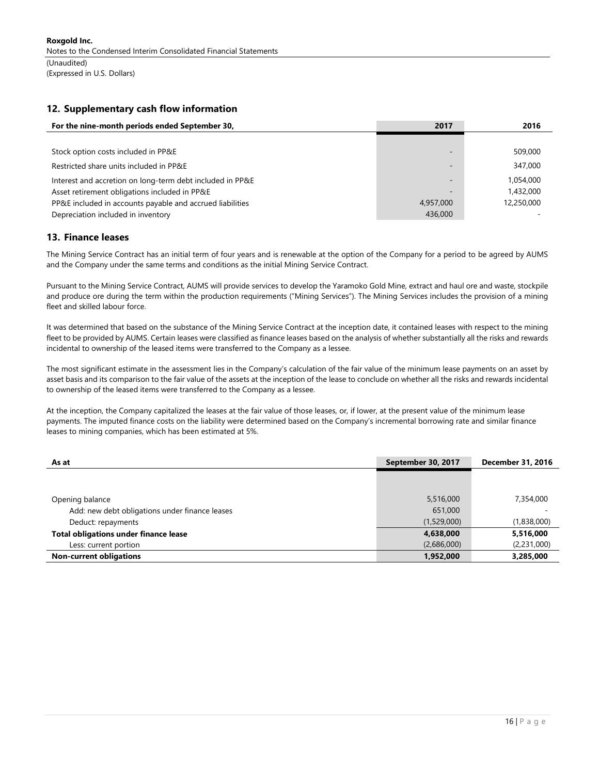# 12. Supplementary cash flow information

| For the nine-month periods ended September 30,            | 2017                     | 2016       |
|-----------------------------------------------------------|--------------------------|------------|
|                                                           |                          |            |
| Stock option costs included in PP&E                       | $\overline{a}$           | 509,000    |
| Restricted share units included in PP&E                   | $\sim$                   | 347,000    |
| Interest and accretion on long-term debt included in PP&E | $\overline{\phantom{a}}$ | 1.054.000  |
| Asset retirement obligations included in PP&E             | $\overline{\phantom{a}}$ | 1,432,000  |
| PP&E included in accounts payable and accrued liabilities | 4,957,000                | 12,250,000 |
| Depreciation included in inventory                        | 436,000                  |            |

# 13. Finance leases

The Mining Service Contract has an initial term of four years and is renewable at the option of the Company for a period to be agreed by AUMS and the Company under the same terms and conditions as the initial Mining Service Contract.

Pursuant to the Mining Service Contract, AUMS will provide services to develop the Yaramoko Gold Mine, extract and haul ore and waste, stockpile and produce ore during the term within the production requirements ("Mining Services"). The Mining Services includes the provision of a mining fleet and skilled labour force.

It was determined that based on the substance of the Mining Service Contract at the inception date, it contained leases with respect to the mining fleet to be provided by AUMS. Certain leases were classified as finance leases based on the analysis of whether substantially all the risks and rewards incidental to ownership of the leased items were transferred to the Company as a lessee.

The most significant estimate in the assessment lies in the Company's calculation of the fair value of the minimum lease payments on an asset by asset basis and its comparison to the fair value of the assets at the inception of the lease to conclude on whether all the risks and rewards incidental to ownership of the leased items were transferred to the Company as a lessee.

At the inception, the Company capitalized the leases at the fair value of those leases, or, if lower, at the present value of the minimum lease payments. The imputed finance costs on the liability were determined based on the Company's incremental borrowing rate and similar finance leases to mining companies, which has been estimated at 5%.

| As at                                          | September 30, 2017 | <b>December 31, 2016</b> |
|------------------------------------------------|--------------------|--------------------------|
|                                                |                    |                          |
|                                                |                    |                          |
| Opening balance                                | 5,516,000          | 7,354,000                |
| Add: new debt obligations under finance leases | 651,000            |                          |
| Deduct: repayments                             | (1,529,000)        | (1,838,000)              |
| <b>Total obligations under finance lease</b>   | 4,638,000          | 5,516,000                |
| Less: current portion                          | (2,686,000)        | (2,231,000)              |
| <b>Non-current obligations</b>                 | 1,952,000          | 3,285,000                |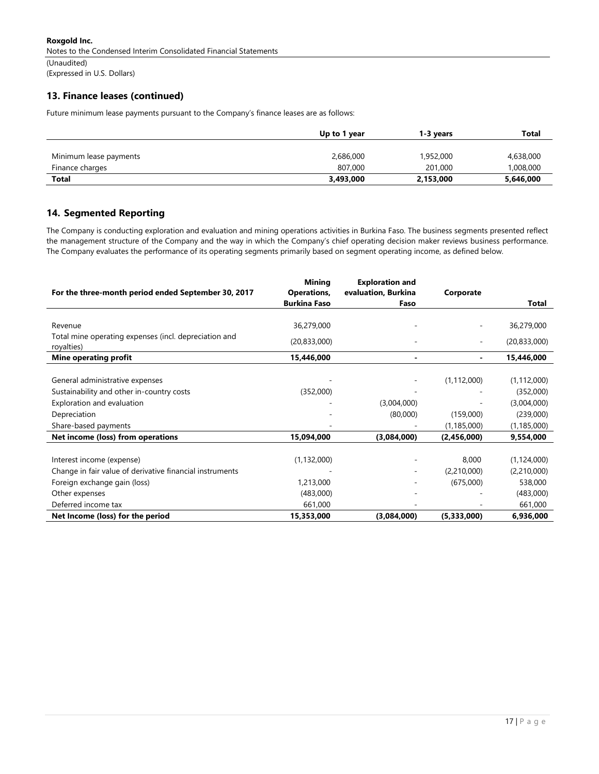Roxgold Inc. Notes to the Condensed Interim Consolidated Financial Statements (Unaudited)

(Expressed in U.S. Dollars)

# 13. Finance leases (continued)

Future minimum lease payments pursuant to the Company's finance leases are as follows:

|                        | Up to 1 year | 1-3 years | Total     |
|------------------------|--------------|-----------|-----------|
|                        |              |           |           |
| Minimum lease payments | 2,686,000    | 1,952,000 | 4,638,000 |
| Finance charges        | 807,000      | 201,000   | 1,008,000 |
| <b>Total</b>           | 3,493,000    | 2,153,000 | 5,646,000 |

### 14. Segmented Reporting

The Company is conducting exploration and evaluation and mining operations activities in Burkina Faso. The business segments presented reflect the management structure of the Company and the way in which the Company's chief operating decision maker reviews business performance. The Company evaluates the performance of its operating segments primarily based on segment operating income, as defined below.

| For the three-month period ended September 30, 2017                 | <b>Mining</b><br>Operations, | <b>Exploration and</b><br>evaluation, Burkina | Corporate     |                |
|---------------------------------------------------------------------|------------------------------|-----------------------------------------------|---------------|----------------|
|                                                                     | <b>Burkina Faso</b>          | Faso                                          |               | <b>Total</b>   |
|                                                                     |                              |                                               |               |                |
| Revenue                                                             | 36,279,000                   |                                               |               | 36,279,000     |
| Total mine operating expenses (incl. depreciation and<br>royalties) | (20, 833, 000)               |                                               |               | (20, 833, 000) |
| <b>Mine operating profit</b>                                        | 15,446,000                   | $\blacksquare$                                |               | 15,446,000     |
|                                                                     |                              |                                               |               |                |
| General administrative expenses                                     |                              |                                               | (1, 112, 000) | (1, 112, 000)  |
| Sustainability and other in-country costs                           | (352,000)                    |                                               |               | (352,000)      |
| Exploration and evaluation                                          |                              | (3,004,000)                                   |               | (3,004,000)    |
| Depreciation                                                        |                              | (80,000)                                      | (159,000)     | (239,000)      |
| Share-based payments                                                |                              |                                               | (1, 185, 000) | (1, 185, 000)  |
| Net income (loss) from operations                                   | 15,094,000                   | (3,084,000)                                   | (2,456,000)   | 9,554,000      |
|                                                                     |                              |                                               |               |                |
| Interest income (expense)                                           | (1, 132, 000)                |                                               | 8,000         | (1, 124, 000)  |
| Change in fair value of derivative financial instruments            |                              |                                               | (2,210,000)   | (2,210,000)    |
| Foreign exchange gain (loss)                                        | 1,213,000                    |                                               | (675,000)     | 538,000        |
| Other expenses                                                      | (483,000)                    |                                               |               | (483,000)      |
| Deferred income tax                                                 | 661,000                      |                                               |               | 661,000        |
| Net Income (loss) for the period                                    | 15,353,000                   | (3,084,000)                                   | (5,333,000)   | 6,936,000      |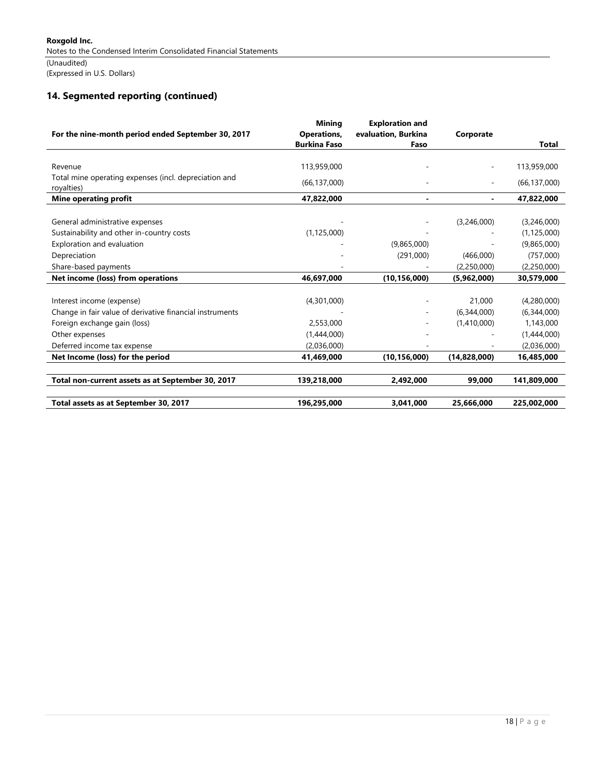# 14. Segmented reporting (continued)

| For the nine-month period ended September 30, 2017                  | <b>Mining</b><br>Operations, | <b>Exploration and</b><br>evaluation, Burkina | Corporate    |                |
|---------------------------------------------------------------------|------------------------------|-----------------------------------------------|--------------|----------------|
|                                                                     | <b>Burkina Faso</b>          | Faso                                          |              | <b>Total</b>   |
|                                                                     |                              |                                               |              |                |
| Revenue                                                             | 113,959,000                  |                                               |              | 113,959,000    |
| Total mine operating expenses (incl. depreciation and<br>royalties) | (66, 137, 000)               |                                               |              | (66, 137, 000) |
| <b>Mine operating profit</b>                                        | 47,822,000                   |                                               |              | 47,822,000     |
|                                                                     |                              |                                               |              |                |
| General administrative expenses                                     |                              |                                               | (3,246,000)  | (3,246,000)    |
| Sustainability and other in-country costs                           | (1, 125, 000)                |                                               |              | (1, 125, 000)  |
| Exploration and evaluation                                          |                              | (9,865,000)                                   |              | (9,865,000)    |
| Depreciation                                                        |                              | (291,000)                                     | (466,000)    | (757,000)      |
| Share-based payments                                                |                              |                                               | (2,250,000)  | (2,250,000)    |
| Net income (loss) from operations                                   | 46,697,000                   | (10, 156, 000)                                | (5,962,000)  | 30,579,000     |
|                                                                     |                              |                                               |              |                |
| Interest income (expense)                                           | (4,301,000)                  |                                               | 21,000       | (4,280,000)    |
| Change in fair value of derivative financial instruments            |                              |                                               | (6,344,000)  | (6,344,000)    |
| Foreign exchange gain (loss)                                        | 2,553,000                    |                                               | (1,410,000)  | 1,143,000      |
| Other expenses                                                      | (1,444,000)                  |                                               |              | (1,444,000)    |
| Deferred income tax expense                                         | (2,036,000)                  |                                               |              | (2,036,000)    |
| Net Income (loss) for the period                                    | 41,469,000                   | (10, 156, 000)                                | (14,828,000) | 16,485,000     |
| Total non-current assets as at September 30, 2017                   | 139,218,000                  | 2,492,000                                     | 99,000       | 141,809,000    |
|                                                                     |                              |                                               |              |                |
| Total assets as at September 30, 2017                               | 196,295,000                  | 3,041,000                                     | 25,666,000   | 225,002,000    |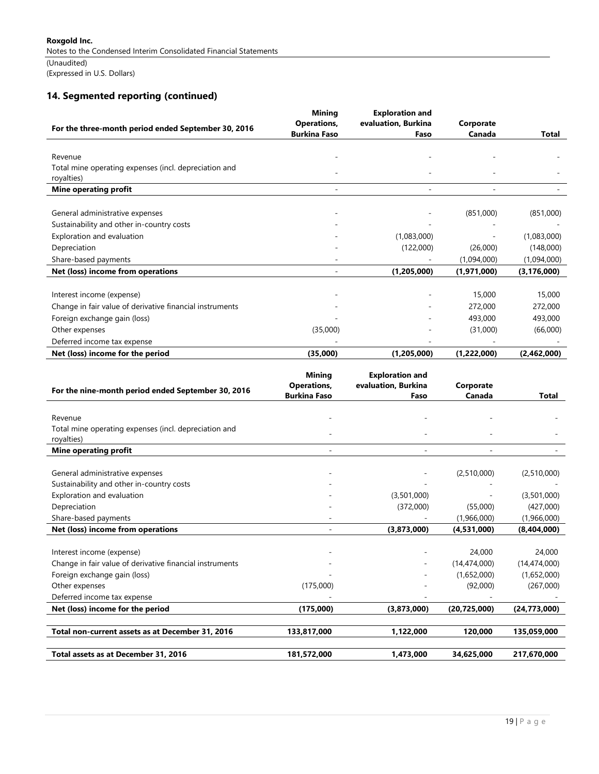# 14. Segmented reporting (continued)

|                                                                  | <b>Mining</b><br><b>Operations,</b> | <b>Exploration and</b><br>evaluation, Burkina | Corporate               |                          |
|------------------------------------------------------------------|-------------------------------------|-----------------------------------------------|-------------------------|--------------------------|
| For the three-month period ended September 30, 2016              | <b>Burkina Faso</b>                 | Faso                                          | Canada                  | Total                    |
|                                                                  |                                     |                                               |                         |                          |
| Revenue<br>Total mine operating expenses (incl. depreciation and |                                     |                                               |                         |                          |
| royalties)                                                       |                                     |                                               |                         |                          |
| <b>Mine operating profit</b>                                     |                                     |                                               |                         |                          |
|                                                                  |                                     |                                               |                         |                          |
| General administrative expenses                                  |                                     |                                               | (851,000)               | (851,000)                |
| Sustainability and other in-country costs                        |                                     |                                               |                         |                          |
| Exploration and evaluation                                       |                                     | (1,083,000)                                   |                         | (1,083,000)              |
| Depreciation                                                     |                                     | (122,000)                                     | (26,000)                | (148,000)                |
| Share-based payments                                             |                                     |                                               | (1,094,000)             | (1,094,000)              |
| Net (loss) income from operations                                |                                     | (1,205,000)                                   | (1,971,000)             | (3, 176, 000)            |
|                                                                  |                                     |                                               |                         |                          |
| Interest income (expense)                                        |                                     |                                               | 15,000                  | 15,000                   |
| Change in fair value of derivative financial instruments         |                                     |                                               | 272,000                 | 272,000                  |
| Foreign exchange gain (loss)                                     |                                     |                                               | 493,000                 | 493,000                  |
| Other expenses                                                   | (35,000)                            |                                               | (31,000)                | (66,000)                 |
| Deferred income tax expense                                      |                                     |                                               |                         |                          |
| Net (loss) income for the period                                 | (35,000)                            | (1,205,000)                                   | (1,222,000)             | (2,462,000)              |
|                                                                  |                                     |                                               |                         |                          |
|                                                                  | <b>Mining</b><br><b>Operations,</b> | <b>Exploration and</b><br>evaluation, Burkina | Corporate               |                          |
| For the nine-month period ended September 30, 2016               | <b>Burkina Faso</b>                 | Faso                                          | Canada                  | Total                    |
|                                                                  |                                     |                                               |                         |                          |
| Revenue                                                          |                                     |                                               |                         |                          |
| Total mine operating expenses (incl. depreciation and            |                                     |                                               |                         |                          |
| royalties)                                                       |                                     |                                               |                         |                          |
| Mine operating profit                                            |                                     |                                               |                         |                          |
|                                                                  |                                     |                                               |                         |                          |
| General administrative expenses                                  |                                     |                                               | (2,510,000)             | (2,510,000)              |
| Sustainability and other in-country costs                        |                                     |                                               |                         |                          |
| Exploration and evaluation<br>Depreciation                       |                                     | (3,501,000)                                   |                         | (3,501,000)              |
| Share-based payments                                             |                                     | (372,000)                                     | (55,000)<br>(1,966,000) | (427,000)<br>(1,966,000) |
| Net (loss) income from operations                                | L,                                  | (3,873,000)                                   | (4,531,000)             | (8,404,000)              |
|                                                                  |                                     |                                               |                         |                          |
| Interest income (expense)                                        |                                     |                                               | 24,000                  | 24,000                   |
| Change in fair value of derivative financial instruments         |                                     |                                               | (14, 474, 000)          | (14, 474, 000)           |
| Foreign exchange gain (loss)                                     |                                     |                                               | (1,652,000)             | (1,652,000)              |
| Other expenses                                                   | (175,000)                           |                                               | (92,000)                | (267,000)                |
| Deferred income tax expense                                      |                                     |                                               |                         |                          |
| Net (loss) income for the period                                 | (175,000)                           | (3,873,000)                                   | (20, 725, 000)          | (24, 773, 000)           |
|                                                                  |                                     |                                               |                         |                          |
| Total non-current assets as at December 31, 2016                 | 133,817,000                         | 1,122,000                                     | 120,000                 | 135,059,000              |
|                                                                  |                                     |                                               |                         |                          |
| Total assets as at December 31, 2016                             | 181,572,000                         | 1,473,000                                     | 34,625,000              | 217,670,000              |